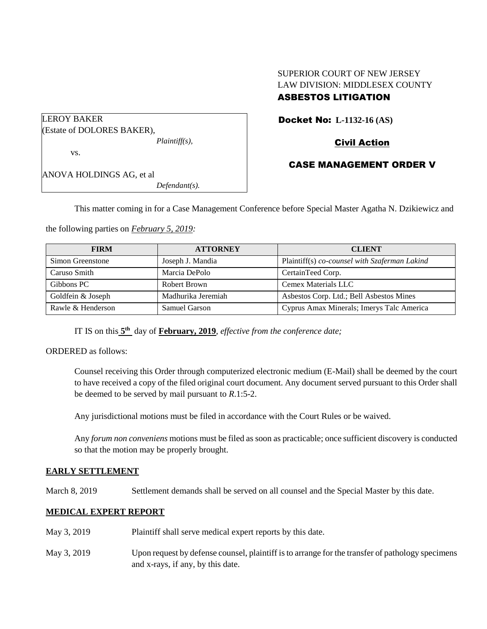# SUPERIOR COURT OF NEW JERSEY LAW DIVISION: MIDDLESEX COUNTY

# ASBESTOS LITIGATION

Docket No: **L-1132-16 (AS)** 

Civil Action

# CASE MANAGEMENT ORDER V

ANOVA HOLDINGS AG, et al *Defendant(s).*

(Estate of DOLORES BAKER),

LEROY BAKER

vs.

This matter coming in for a Case Management Conference before Special Master Agatha N. Dzikiewicz and

the following parties on *February 5, 2019:*

*Plaintiff(s),*

| <b>FIRM</b>       | <b>ATTORNEY</b>    | <b>CLIENT</b>                                 |  |
|-------------------|--------------------|-----------------------------------------------|--|
| Simon Greenstone  | Joseph J. Mandia   | Plaintiff(s) co-counsel with Szaferman Lakind |  |
| Caruso Smith      | Marcia DePolo      | CertainTeed Corp.                             |  |
| Gibbons PC        | Robert Brown       | Cemex Materials LLC                           |  |
| Goldfein & Joseph | Madhurika Jeremiah | Asbestos Corp. Ltd.; Bell Asbestos Mines      |  |
| Rawle & Henderson | Samuel Garson      | Cyprus Amax Minerals; Imerys Talc America     |  |

IT IS on this  $5<sup>th</sup>$  day of **February, 2019**, *effective from the conference date*;

ORDERED as follows:

Counsel receiving this Order through computerized electronic medium (E-Mail) shall be deemed by the court to have received a copy of the filed original court document. Any document served pursuant to this Order shall be deemed to be served by mail pursuant to *R*.1:5-2.

Any jurisdictional motions must be filed in accordance with the Court Rules or be waived.

Any *forum non conveniens* motions must be filed as soon as practicable; once sufficient discovery is conducted so that the motion may be properly brought.

## **EARLY SETTLEMENT**

March 8, 2019 Settlement demands shall be served on all counsel and the Special Master by this date.

## **MEDICAL EXPERT REPORT**

- May 3, 2019 Plaintiff shall serve medical expert reports by this date.
- May 3, 2019 Upon request by defense counsel, plaintiff is to arrange for the transfer of pathology specimens and x-rays, if any, by this date.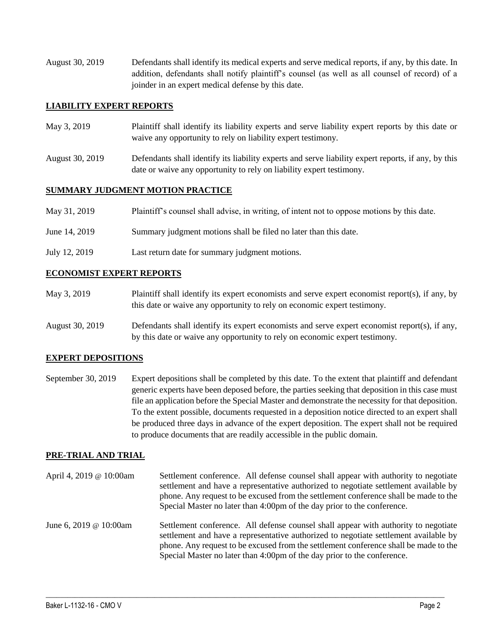August 30, 2019 Defendants shall identify its medical experts and serve medical reports, if any, by this date. In addition, defendants shall notify plaintiff's counsel (as well as all counsel of record) of a joinder in an expert medical defense by this date.

#### **LIABILITY EXPERT REPORTS**

- May 3, 2019 Plaintiff shall identify its liability experts and serve liability expert reports by this date or waive any opportunity to rely on liability expert testimony.
- August 30, 2019 Defendants shall identify its liability experts and serve liability expert reports, if any, by this date or waive any opportunity to rely on liability expert testimony.

#### **SUMMARY JUDGMENT MOTION PRACTICE**

| Plaintiff's counsel shall advise, in writing, of intent not to oppose motions by this date.<br>May 31, 2019 |  |  |
|-------------------------------------------------------------------------------------------------------------|--|--|
|-------------------------------------------------------------------------------------------------------------|--|--|

- June 14, 2019 Summary judgment motions shall be filed no later than this date.
- July 12, 2019 Last return date for summary judgment motions.

#### **ECONOMIST EXPERT REPORTS**

- May 3, 2019 Plaintiff shall identify its expert economists and serve expert economist report(s), if any, by this date or waive any opportunity to rely on economic expert testimony.
- August 30, 2019 Defendants shall identify its expert economists and serve expert economist report(s), if any, by this date or waive any opportunity to rely on economic expert testimony.

## **EXPERT DEPOSITIONS**

September 30, 2019 Expert depositions shall be completed by this date. To the extent that plaintiff and defendant generic experts have been deposed before, the parties seeking that deposition in this case must file an application before the Special Master and demonstrate the necessity for that deposition. To the extent possible, documents requested in a deposition notice directed to an expert shall be produced three days in advance of the expert deposition. The expert shall not be required to produce documents that are readily accessible in the public domain.

#### **PRE-TRIAL AND TRIAL**

April 4, 2019 @ 10:00am Settlement conference. All defense counsel shall appear with authority to negotiate settlement and have a representative authorized to negotiate settlement available by phone. Any request to be excused from the settlement conference shall be made to the Special Master no later than 4:00pm of the day prior to the conference. June 6, 2019 @ 10:00am Settlement conference. All defense counsel shall appear with authority to negotiate settlement and have a representative authorized to negotiate settlement available by phone. Any request to be excused from the settlement conference shall be made to the Special Master no later than 4:00pm of the day prior to the conference.

 $\_$  ,  $\_$  ,  $\_$  ,  $\_$  ,  $\_$  ,  $\_$  ,  $\_$  ,  $\_$  ,  $\_$  ,  $\_$  ,  $\_$  ,  $\_$  ,  $\_$  ,  $\_$  ,  $\_$  ,  $\_$  ,  $\_$  ,  $\_$  ,  $\_$  ,  $\_$  ,  $\_$  ,  $\_$  ,  $\_$  ,  $\_$  ,  $\_$  ,  $\_$  ,  $\_$  ,  $\_$  ,  $\_$  ,  $\_$  ,  $\_$  ,  $\_$  ,  $\_$  ,  $\_$  ,  $\_$  ,  $\_$  ,  $\_$  ,